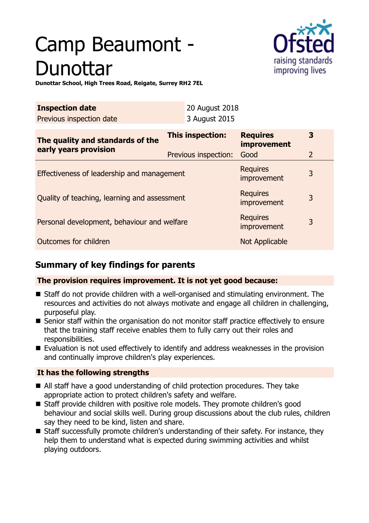# Camp Beaumont - Dunottar



**Dunottar School, High Trees Road, Reigate, Surrey RH2 7EL**

| <b>Inspection date</b><br>Previous inspection date        | 20 August 2018<br>3 August 2015          |                                               |                     |
|-----------------------------------------------------------|------------------------------------------|-----------------------------------------------|---------------------|
| The quality and standards of the<br>early years provision | This inspection:<br>Previous inspection: | <b>Requires</b><br><i>improvement</i><br>Good | 3<br>$\overline{2}$ |
| Effectiveness of leadership and management                |                                          | <b>Requires</b><br>improvement                | 3                   |
| Quality of teaching, learning and assessment              |                                          | <b>Requires</b><br><i>improvement</i>         | 3                   |
| Personal development, behaviour and welfare               |                                          | <b>Requires</b><br><i>improvement</i>         | 3                   |
| Outcomes for children                                     |                                          | Not Applicable                                |                     |

# **Summary of key findings for parents**

## **The provision requires improvement. It is not yet good because:**

- $\blacksquare$  Staff do not provide children with a well-organised and stimulating environment. The resources and activities do not always motivate and engage all children in challenging, purposeful play.
- Senior staff within the organisation do not monitor staff practice effectively to ensure that the training staff receive enables them to fully carry out their roles and responsibilities.
- $\blacksquare$  Evaluation is not used effectively to identify and address weaknesses in the provision and continually improve children's play experiences.

## **It has the following strengths**

- $\blacksquare$  All staff have a good understanding of child protection procedures. They take appropriate action to protect children's safety and welfare.
- $\blacksquare$  Staff provide children with positive role models. They promote children's good behaviour and social skills well. During group discussions about the club rules, children say they need to be kind, listen and share.
- Staff successfully promote children's understanding of their safety. For instance, they help them to understand what is expected during swimming activities and whilst playing outdoors.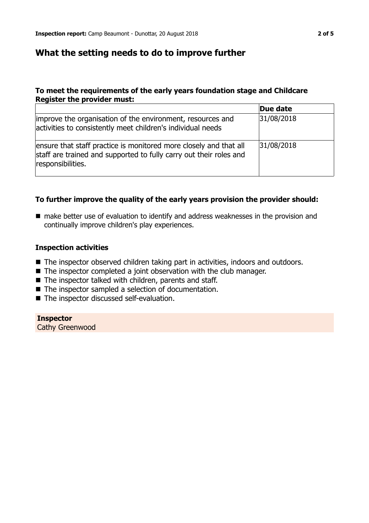# **What the setting needs to do to improve further**

#### **To meet the requirements of the early years foundation stage and Childcare Register the provider must:**

|                                                                                                                                                              | Due date   |
|--------------------------------------------------------------------------------------------------------------------------------------------------------------|------------|
| improve the organisation of the environment, resources and<br>activities to consistently meet children's individual needs                                    | 31/08/2018 |
| ensure that staff practice is monitored more closely and that all<br>staff are trained and supported to fully carry out their roles and<br>responsibilities. | 31/08/2018 |

#### **To further improve the quality of the early years provision the provider should:**

■ make better use of evaluation to identify and address weaknesses in the provision and continually improve children's play experiences.

#### **Inspection activities**

- The inspector observed children taking part in activities, indoors and outdoors.
- $\blacksquare$  The inspector completed a joint observation with the club manager.
- $\blacksquare$  The inspector talked with children, parents and staff.
- $\blacksquare$  The inspector sampled a selection of documentation.
- The inspector discussed self-evaluation.

**Inspector** Cathy Greenwood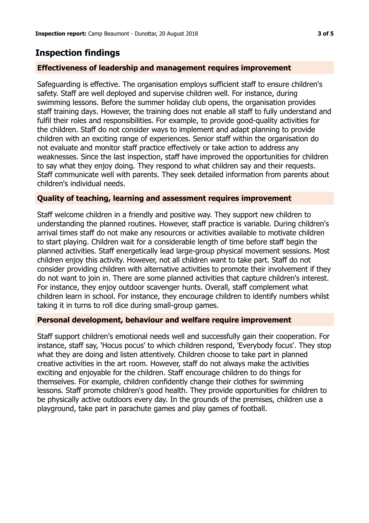# **Inspection findings**

### **Effectiveness of leadership and management requires improvement**

Safeguarding is effective. The organisation employs sufficient staff to ensure children's safety. Staff are well deployed and supervise children well. For instance, during swimming lessons. Before the summer holiday club opens, the organisation provides staff training days. However, the training does not enable all staff to fully understand and fulfil their roles and responsibilities. For example, to provide good-quality activities for the children. Staff do not consider ways to implement and adapt planning to provide children with an exciting range of experiences. Senior staff within the organisation do not evaluate and monitor staff practice effectively or take action to address any weaknesses. Since the last inspection, staff have improved the opportunities for children to say what they enjoy doing. They respond to what children say and their requests. Staff communicate well with parents. They seek detailed information from parents about children's individual needs.

#### **Quality of teaching, learning and assessment requires improvement**

Staff welcome children in a friendly and positive way. They support new children to understanding the planned routines. However, staff practice is variable. During children's arrival times staff do not make any resources or activities available to motivate children to start playing. Children wait for a considerable length of time before staff begin the planned activities. Staff energetically lead large-group physical movement sessions. Most children enjoy this activity. However, not all children want to take part. Staff do not consider providing children with alternative activities to promote their involvement if they do not want to join in. There are some planned activities that capture children's interest. For instance, they enjoy outdoor scavenger hunts. Overall, staff complement what children learn in school. For instance, they encourage children to identify numbers whilst taking it in turns to roll dice during small-group games.

#### **Personal development, behaviour and welfare require improvement**

Staff support children's emotional needs well and successfully gain their cooperation. For instance, staff say, 'Hocus pocus' to which children respond, 'Everybody focus'. They stop what they are doing and listen attentively. Children choose to take part in planned creative activities in the art room. However, staff do not always make the activities exciting and enjoyable for the children. Staff encourage children to do things for themselves. For example, children confidently change their clothes for swimming lessons. Staff promote children's good health. They provide opportunities for children to be physically active outdoors every day. In the grounds of the premises, children use a playground, take part in parachute games and play games of football.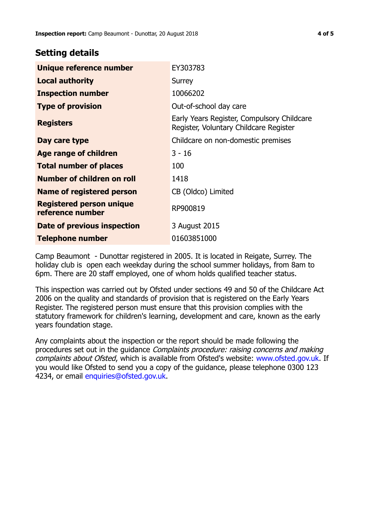# **Setting details**

| Unique reference number                             | EY303783                                                                             |
|-----------------------------------------------------|--------------------------------------------------------------------------------------|
| <b>Local authority</b>                              | Surrey                                                                               |
| <b>Inspection number</b>                            | 10066202                                                                             |
| <b>Type of provision</b>                            | Out-of-school day care                                                               |
| <b>Registers</b>                                    | Early Years Register, Compulsory Childcare<br>Register, Voluntary Childcare Register |
| Day care type                                       | Childcare on non-domestic premises                                                   |
| <b>Age range of children</b>                        | $3 - 16$                                                                             |
| <b>Total number of places</b>                       | 100                                                                                  |
| Number of children on roll                          | 1418                                                                                 |
| Name of registered person                           | CB (Oldco) Limited                                                                   |
| <b>Registered person unique</b><br>reference number | RP900819                                                                             |
| Date of previous inspection                         | 3 August 2015                                                                        |
| Telephone number                                    | 01603851000                                                                          |

Camp Beaumont - Dunottar registered in 2005. It is located in Reigate, Surrey. The holiday club is open each weekday during the school summer holidays, from 8am to 6pm. There are 20 staff employed, one of whom holds qualified teacher status.

This inspection was carried out by Ofsted under sections 49 and 50 of the Childcare Act 2006 on the quality and standards of provision that is registered on the Early Years Register. The registered person must ensure that this provision complies with the statutory framework for children's learning, development and care, known as the early years foundation stage.

Any complaints about the inspection or the report should be made following the procedures set out in the guidance Complaints procedure: raising concerns and making complaints about Ofsted, which is available from Ofsted's website: www.ofsted.gov.uk. If you would like Ofsted to send you a copy of the guidance, please telephone 0300 123 4234, or email [enquiries@ofsted.gov.uk.](mailto:enquiries@ofsted.gov.uk)